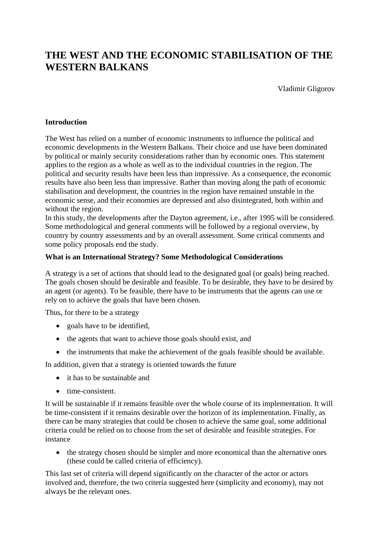# **THE WEST AND THE ECONOMIC STABILISATION OF THE WESTERN BALKANS**

Vladimir Gligorov

### **Introduction**

The West has relied on a number of economic instruments to influence the political and economic developments in the Western Balkans. Their choice and use have been dominated by political or mainly security considerations rather than by economic ones. This statement applies to the region as a whole as well as to the individual countries in the region. The political and security results have been less than impressive. As a consequence, the economic results have also been less than impressive. Rather than moving along the path of economic stabilisation and development, the countries in the region have remained unstable in the economic sense, and their economies are depressed and also disintegrated, both within and without the region.

In this study, the developments after the Dayton agreement, i.e., after 1995 will be considered. Some methodological and general comments will be followed by a regional overview, by country by country assessments and by an overall assessment. Some critical comments and some policy proposals end the study.

## **What is an International Strategy? Some Methodological Considerations**

A strategy is a set of actions that should lead to the designated goal (or goals) being reached. The goals chosen should be desirable and feasible. To be desirable, they have to be desired by an agent (or agents). To be feasible, there have to be instruments that the agents can use or rely on to achieve the goals that have been chosen.

Thus, for there to be a strategy

- goals have to be identified,
- the agents that want to achieve those goals should exist, and
- the instruments that make the achievement of the goals feasible should be available.

In addition, given that a strategy is oriented towards the future

- it has to be sustainable and
- time-consistent.

It will be sustainable if it remains feasible over the whole course of its implementation. It will be time-consistent if it remains desirable over the horizon of its implementation. Finally, as there can be many strategies that could be chosen to achieve the same goal, some additional criteria could be relied on to choose from the set of desirable and feasible strategies. For instance

• the strategy chosen should be simpler and more economical than the alternative ones (these could be called criteria of efficiency).

This last set of criteria will depend significantly on the character of the actor or actors involved and, therefore, the two criteria suggested here (simplicity and economy), may not always be the relevant ones.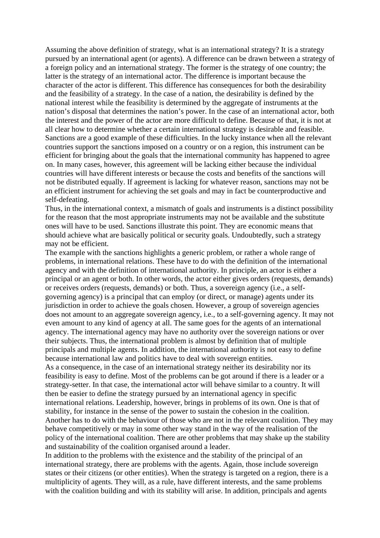Assuming the above definition of strategy, what is an international strategy? It is a strategy pursued by an international agent (or agents). A difference can be drawn between a strategy of a foreign policy and an international strategy. The former is the strategy of one country; the latter is the strategy of an international actor. The difference is important because the character of the actor is different. This difference has consequences for both the desirability and the feasibility of a strategy. In the case of a nation, the desirability is defined by the national interest while the feasibility is determined by the aggregate of instruments at the nation's disposal that determines the nation's power. In the case of an international actor, both the interest and the power of the actor are more difficult to define. Because of that, it is not at all clear how to determine whether a certain international strategy is desirable and feasible. Sanctions are a good example of these difficulties. In the lucky instance when all the relevant countries support the sanctions imposed on a country or on a region, this instrument can be efficient for bringing about the goals that the international community has happened to agree on. In many cases, however, this agreement will be lacking either because the individual countries will have different interests or because the costs and benefits of the sanctions will not be distributed equally. If agreement is lacking for whatever reason, sanctions may not be an efficient instrument for achieving the set goals and may in fact be counterproductive and self-defeating.

Thus, in the international context, a mismatch of goals and instruments is a distinct possibility for the reason that the most appropriate instruments may not be available and the substitute ones will have to be used. Sanctions illustrate this point. They are economic means that should achieve what are basically political or security goals. Undoubtedly, such a strategy may not be efficient.

The example with the sanctions highlights a generic problem, or rather a whole range of problems, in international relations. These have to do with the definition of the international agency and with the definition of international authority. In principle, an actor is either a principal or an agent or both. In other words, the actor either gives orders (requests, demands) or receives orders (requests, demands) or both. Thus, a sovereign agency (i.e., a selfgoverning agency) is a principal that can employ (or direct, or manage) agents under its jurisdiction in order to achieve the goals chosen. However, a group of sovereign agencies does not amount to an aggregate sovereign agency, i.e., to a self-governing agency. It may not even amount to any kind of agency at all. The same goes for the agents of an international agency. The international agency may have no authority over the sovereign nations or over their subjects. Thus, the international problem is almost by definition that of multiple principals and multiple agents. In addition, the international authority is not easy to define because international law and politics have to deal with sovereign entities.

As a consequence, in the case of an international strategy neither its desirability nor its feasibility is easy to define. Most of the problems can be got around if there is a leader or a strategy-setter. In that case, the international actor will behave similar to a country. It will then be easier to define the strategy pursued by an international agency in specific international relations. Leadership, however, brings in problems of its own. One is that of stability, for instance in the sense of the power to sustain the cohesion in the coalition. Another has to do with the behaviour of those who are not in the relevant coalition. They may behave competitively or may in some other way stand in the way of the realisation of the policy of the international coalition. There are other problems that may shake up the stability and sustainability of the coalition organised around a leader.

In addition to the problems with the existence and the stability of the principal of an international strategy, there are problems with the agents. Again, those include sovereign states or their citizens (or other entities). When the strategy is targeted on a region, there is a multiplicity of agents. They will, as a rule, have different interests, and the same problems with the coalition building and with its stability will arise. In addition, principals and agents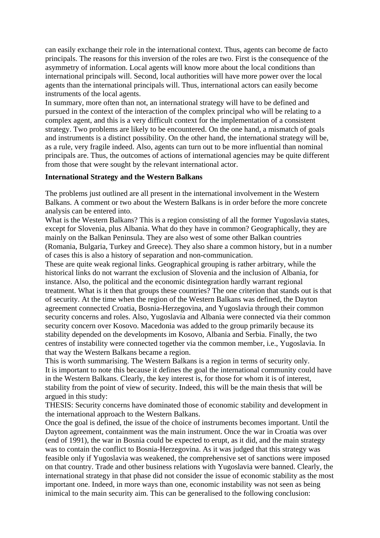can easily exchange their role in the international context. Thus, agents can become de facto principals. The reasons for this inversion of the roles are two. First is the consequence of the asymmetry of information. Local agents will know more about the local conditions than international principals will. Second, local authorities will have more power over the local agents than the international principals will. Thus, international actors can easily become instruments of the local agents.

In summary, more often than not, an international strategy will have to be defined and pursued in the context of the interaction of the complex principal who will be relating to a complex agent, and this is a very difficult context for the implementation of a consistent strategy. Two problems are likely to be encountered. On the one hand, a mismatch of goals and instruments is a distinct possibility. On the other hand, the international strategy will be, as a rule, very fragile indeed. Also, agents can turn out to be more influential than nominal principals are. Thus, the outcomes of actions of international agencies may be quite different from those that were sought by the relevant international actor.

#### **International Strategy and the Western Balkans**

The problems just outlined are all present in the international involvement in the Western Balkans. A comment or two about the Western Balkans is in order before the more concrete analysis can be entered into.

What is the Western Balkans? This is a region consisting of all the former Yugoslavia states, except for Slovenia, plus Albania. What do they have in common? Geographically, they are mainly on the Balkan Peninsula. They are also west of some other Balkan countries (Romania, Bulgaria, Turkey and Greece). They also share a common history, but in a number of cases this is also a history of separation and non-communication.

These are quite weak regional links. Geographical grouping is rather arbitrary, while the historical links do not warrant the exclusion of Slovenia and the inclusion of Albania, for instance. Also, the political and the economic disintegration hardly warrant regional treatment. What is it then that groups these countries? The one criterion that stands out is that of security. At the time when the region of the Western Balkans was defined, the Dayton agreement connected Croatia, Bosnia-Herzegovina, and Yugoslavia through their common security concerns and roles. Also, Yugoslavia and Albania were connected via their common security concern over Kosovo. Macedonia was added to the group primarily because its stability depended on the developments im Kosovo, Albania and Serbia. Finally, the two centres of instability were connected together via the common member, i.e., Yugoslavia. In that way the Western Balkans became a region.

This is worth summarising. The Western Balkans is a region in terms of security only. It is important to note this because it defines the goal the international community could have in the Western Balkans. Clearly, the key interest is, for those for whom it is of interest, stability from the point of view of security. Indeed, this will be the main thesis that will be argued in this study:

THESIS: Security concerns have dominated those of economic stability and development in the international approach to the Western Balkans.

Once the goal is defined, the issue of the choice of instruments becomes important. Until the Dayton agreement, containment was the main instrument. Once the war in Croatia was over (end of 1991), the war in Bosnia could be expected to erupt, as it did, and the main strategy was to contain the conflict to Bosnia-Herzegovina. As it was judged that this strategy was feasible only if Yugoslavia was weakened, the comprehensive set of sanctions were imposed on that country. Trade and other business relations with Yugoslavia were banned. Clearly, the international strategy in that phase did not consider the issue of economic stability as the most important one. Indeed, in more ways than one, economic instability was not seen as being inimical to the main security aim. This can be generalised to the following conclusion: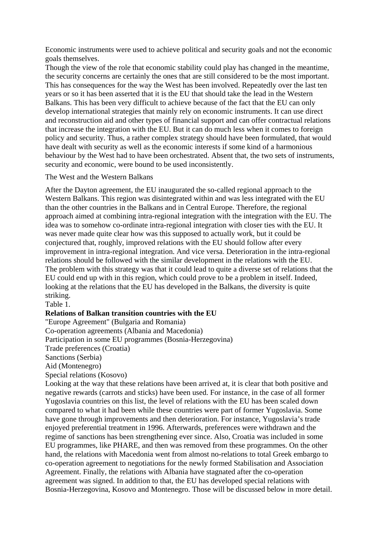Economic instruments were used to achieve political and security goals and not the economic goals themselves.

Though the view of the role that economic stability could play has changed in the meantime, the security concerns are certainly the ones that are still considered to be the most important. This has consequences for the way the West has been involved. Repeatedly over the last ten years or so it has been asserted that it is the EU that should take the lead in the Western Balkans. This has been very difficult to achieve because of the fact that the EU can only develop international strategies that mainly rely on economic instruments. It can use direct and reconstruction aid and other types of financial support and can offer contractual relations that increase the integration with the EU. But it can do much less when it comes to foreign policy and security. Thus, a rather complex strategy should have been formulated, that would have dealt with security as well as the economic interests if some kind of a harmonious behaviour by the West had to have been orchestrated. Absent that, the two sets of instruments, security and economic, were bound to be used inconsistently.

#### The West and the Western Balkans

After the Dayton agreement, the EU inaugurated the so-called regional approach to the Western Balkans. This region was disintegrated within and was less integrated with the EU than the other countries in the Balkans and in Central Europe. Therefore, the regional approach aimed at combining intra-regional integration with the integration with the EU. The idea was to somehow co-ordinate intra-regional integration with closer ties with the EU. It was never made quite clear how was this supposed to actually work, but it could be conjectured that, roughly, improved relations with the EU should follow after every improvement in intra-regional integration. And vice versa. Deterioration in the intra-regional relations should be followed with the similar development in the relations with the EU. The problem with this strategy was that it could lead to quite a diverse set of relations that the EU could end up with in this region, which could prove to be a problem in itself. Indeed, looking at the relations that the EU has developed in the Balkans, the diversity is quite striking.

Table 1.

#### **Relations of Balkan transition countries with the EU**

"Europe Agreement" (Bulgaria and Romania)

Co-operation agreements (Albania and Macedonia)

Participation in some EU programmes (Bosnia-Herzegovina)

Trade preferences (Croatia)

Sanctions (Serbia)

Aid (Montenegro)

Special relations (Kosovo)

Looking at the way that these relations have been arrived at, it is clear that both positive and negative rewards (carrots and sticks) have been used. For instance, in the case of all former Yugoslavia countries on this list, the level of relations with the EU has been scaled down compared to what it had been while these countries were part of former Yugoslavia. Some have gone through improvements and then deterioration. For instance, Yugoslavia's trade enjoyed preferential treatment in 1996. Afterwards, preferences were withdrawn and the regime of sanctions has been strengthening ever since. Also, Croatia was included in some EU programmes, like PHARE, and then was removed from these programmes. On the other hand, the relations with Macedonia went from almost no-relations to total Greek embargo to co-operation agreement to negotiations for the newly formed Stabilisation and Association Agreement. Finally, the relations with Albania have stagnated after the co-operation agreement was signed. In addition to that, the EU has developed special relations with Bosnia-Herzegovina, Kosovo and Montenegro. Those will be discussed below in more detail.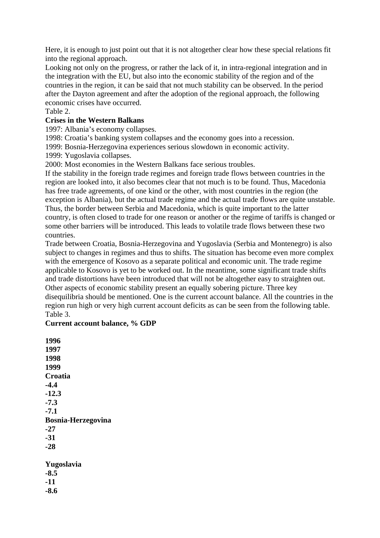Here, it is enough to just point out that it is not altogether clear how these special relations fit into the regional approach.

Looking not only on the progress, or rather the lack of it, in intra-regional integration and in the integration with the EU, but also into the economic stability of the region and of the countries in the region, it can be said that not much stability can be observed. In the period after the Dayton agreement and after the adoption of the regional approach, the following economic crises have occurred.

## Table 2.

## **Crises in the Western Balkans**

1997: Albania's economy collapses.

1998: Croatia's banking system collapses and the economy goes into a recession.

1999: Bosnia-Herzegovina experiences serious slowdown in economic activity.

1999: Yugoslavia collapses.

2000: Most economies in the Western Balkans face serious troubles.

If the stability in the foreign trade regimes and foreign trade flows between countries in the region are looked into, it also becomes clear that not much is to be found. Thus, Macedonia has free trade agreements, of one kind or the other, with most countries in the region (the exception is Albania), but the actual trade regime and the actual trade flows are quite unstable. Thus, the border between Serbia and Macedonia, which is quite important to the latter country, is often closed to trade for one reason or another or the regime of tariffs is changed or some other barriers will be introduced. This leads to volatile trade flows between these two countries.

Trade between Croatia, Bosnia-Herzegovina and Yugoslavia (Serbia and Montenegro) is also subject to changes in regimes and thus to shifts. The situation has become even more complex with the emergence of Kosovo as a separate political and economic unit. The trade regime applicable to Kosovo is yet to be worked out. In the meantime, some significant trade shifts and trade distortions have been introduced that will not be altogether easy to straighten out. Other aspects of economic stability present an equally sobering picture. Three key disequilibria should be mentioned. One is the current account balance. All the countries in the region run high or very high current account deficits as can be seen from the following table. Table 3.

## **Current account balance, % GDP**

**1996 1997 1998 1999 Croatia -4.4 -12.3 -7.3 -7.1 Bosnia-Herzegovina -27 -31 -28 Yugoslavia -8.5 -11**

**-8.6**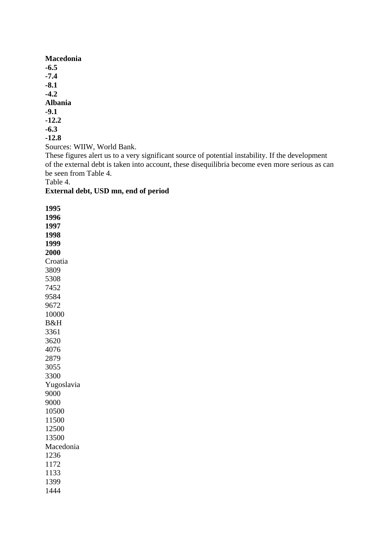**Macedonia -6.5 -7.4 -8.1 -4.2 Albania -9.1 -12.2 -6.3 -12.8** Sources: WIIW, World Bank.

These figures alert us to a very significant source of potential instability. If the development of the external debt is taken into account, these disequilibria become even more serious as can be seen from Table 4.

Table 4.

## **External debt, USD mn, end of period**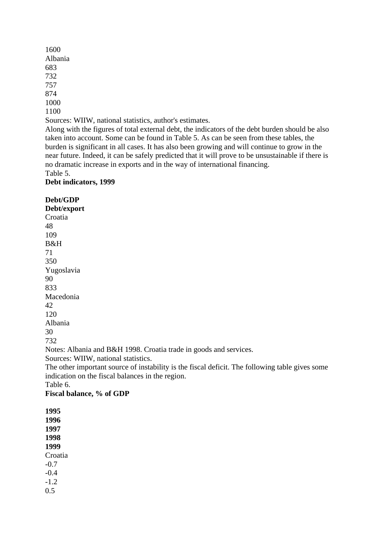1600 Albania 683 732 757 874 1000 1100 Sources: WIIW, national statistics, author's estimates. Along with the figures of total external debt, the indicators of the debt burden should be also

taken into account. Some can be found in Table 5. As can be seen from these tables, the burden is significant in all cases. It has also been growing and will continue to grow in the near future. Indeed, it can be safely predicted that it will prove to be unsustainable if there is no dramatic increase in exports and in the way of international financing. Table 5.

### **Debt indicators, 1999**

**Debt/GDP**

**Debt/export** Croatia 48 109 B&H 71 350 Yugoslavia 90 833 Macedonia  $42<sup>2</sup>$ 120 Albania 30 732 Notes: Albania and B&H 1998. Croatia trade in goods and services. Sources: WIIW, national statistics. The other important source of instability is the fiscal deficit. The following table gives some indication on the fiscal balances in the region. Table 6. **Fiscal balance, % of GDP 1995 1996 1997 1998**

**1999** Croatia -0.7 -0.4 -1.2

0.5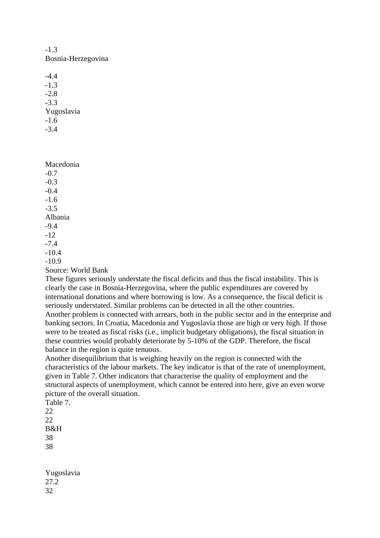-1.3 Bosnia-Herzegovina

-4.4 -1.3 -2.8 -3.3 Yugoslavia -1.6 -3.4

Macedonia -0.7  $-0.3$ -0.4 -1.6 -3.5 Albania -9.4 -12 -7.4 -10.4 -10.9

Source: World Bank

These figures seriously understate the fiscal deficits and thus the fiscal instability. This is clearly the case in Bosnia-Herzegovina, where the public expenditures are covered by international donations and where borrowing is low. As a consequence, the fiscal deficit is seriously understated. Similar problems can be detected in all the other countries. Another problem is connected with arrears, both in the public sector and in the enterprise and banking sectors. In Croatia, Macedonia and Yugoslavia those are high or very high. If those were to be treated as fiscal risks (i.e., implicit budgetary obligations), the fiscal situation in these countries would probably deteriorate by 5-10% of the GDP. Therefore, the fiscal balance in the region is quite tenuous.

Another disequilibrium that is weighing heavily on the region is connected with the characteristics of the labour markets. The key indicator is that of the rate of unemployment, given in Table 7. Other indicators that characterise the quality of employment and the structural aspects of unemployment, which cannot be entered into here, give an even worse picture of the overall situation.

Table 7.  $22$ 22 B&H 38 38

Yugoslavia 27.2 32